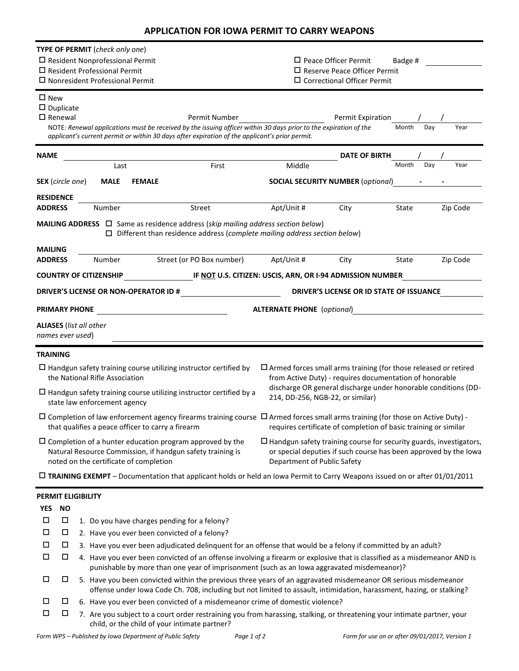| APPLICATION FOR IOWA PERMIT TO CARRY WEAPONS |  |
|----------------------------------------------|--|
|----------------------------------------------|--|

| <b>TYPE OF PERMIT</b> (check only one)                                                                                                                                                                                                  |                                                                              |                      |  |  |  |
|-----------------------------------------------------------------------------------------------------------------------------------------------------------------------------------------------------------------------------------------|------------------------------------------------------------------------------|----------------------|--|--|--|
| $\Box$ Resident Nonprofessional Permit                                                                                                                                                                                                  | $\square$ Peace Officer Permit                                               | Badge #              |  |  |  |
| $\Box$ Resident Professional Permit<br>$\square$ Nonresident Professional Permit                                                                                                                                                        | $\Box$ Reserve Peace Officer Permit<br>$\square$ Correctional Officer Permit |                      |  |  |  |
|                                                                                                                                                                                                                                         |                                                                              |                      |  |  |  |
| $\square$ New<br>$\square$ Duplicate                                                                                                                                                                                                    |                                                                              |                      |  |  |  |
| $\square$ Renewal<br>Permit Number                                                                                                                                                                                                      | Permit Expiration                                                            |                      |  |  |  |
| NOTE: Renewal applications must be received by the issuing officer within 30 days prior to the expiration of the                                                                                                                        |                                                                              | Month<br>Year<br>Day |  |  |  |
| applicant's current permit or within 30 days after expiration of the applicant's prior permit.                                                                                                                                          |                                                                              |                      |  |  |  |
| NAME                                                                                                                                                                                                                                    | <b>DATE OF BIRTH</b>                                                         |                      |  |  |  |
| First<br>Last                                                                                                                                                                                                                           | Middle                                                                       | Month<br>Day<br>Year |  |  |  |
| <b>SEX</b> (circle one)<br><b>MALE</b><br><b>FEMALE</b>                                                                                                                                                                                 | <b>SOCIAL SECURITY NUMBER (optional)</b>                                     |                      |  |  |  |
| <b>RESIDENCE</b>                                                                                                                                                                                                                        |                                                                              |                      |  |  |  |
| Street<br><b>ADDRESS</b><br>Number                                                                                                                                                                                                      | Apt/Unit #<br>City                                                           | State<br>Zip Code    |  |  |  |
| <b>MAILING ADDRESS</b> $\Box$ Same as residence address (skip mailing address section below)                                                                                                                                            |                                                                              |                      |  |  |  |
| $\Box$ Different than residence address (complete mailing address section below)                                                                                                                                                        |                                                                              |                      |  |  |  |
| <b>MAILING</b>                                                                                                                                                                                                                          |                                                                              |                      |  |  |  |
| Street (or PO Box number)<br><b>ADDRESS</b><br>Number                                                                                                                                                                                   | Apt/Unit #<br>City                                                           | Zip Code<br>State    |  |  |  |
| <b>COUNTRY OF CITIZENSHIP</b>                                                                                                                                                                                                           | IF <u>NOT</u> U.S. CITIZEN: USCIS, ARN, OR I-94 ADMISSION NUMBER             |                      |  |  |  |
| <b>DRIVER'S LICENSE OR NON-OPERATOR ID #</b>                                                                                                                                                                                            | DRIVER'S LICENSE OR ID STATE OF ISSUANCE                                     |                      |  |  |  |
| <b>PRIMARY PHONE</b>                                                                                                                                                                                                                    | <b>ALTERNATE PHONE</b> (optional)                                            |                      |  |  |  |
| <b>ALIASES</b> (list all other                                                                                                                                                                                                          |                                                                              |                      |  |  |  |
| names ever used)                                                                                                                                                                                                                        |                                                                              |                      |  |  |  |
| <b>TRAINING</b>                                                                                                                                                                                                                         |                                                                              |                      |  |  |  |
| $\Box$ Handgun safety training course utilizing instructor certified by                                                                                                                                                                 | $\Box$ Armed forces small arms training (for those released or retired       |                      |  |  |  |
| the National Rifle Association                                                                                                                                                                                                          | from Active Duty) - requires documentation of honorable                      |                      |  |  |  |
| $\Box$ Handgun safety training course utilizing instructor certified by a                                                                                                                                                               | discharge OR general discharge under honorable conditions (DD-               |                      |  |  |  |
| state law enforcement agency                                                                                                                                                                                                            | 214, DD-256, NGB-22, or similar)                                             |                      |  |  |  |
| $\Box$ Completion of law enforcement agency firearms training course $\Box$ Armed forces small arms training (for those on Active Duty) -                                                                                               |                                                                              |                      |  |  |  |
| that qualifies a peace officer to carry a firearm                                                                                                                                                                                       | requires certificate of completion of basic training or similar              |                      |  |  |  |
| $\Box$ Completion of a hunter education program approved by the                                                                                                                                                                         | $\Box$ Handgun safety training course for security guards, investigators,    |                      |  |  |  |
| Natural Resource Commission, if handgun safety training is                                                                                                                                                                              | or special deputies if such course has been approved by the lowa             |                      |  |  |  |
| noted on the certificate of completion                                                                                                                                                                                                  | Department of Public Safety                                                  |                      |  |  |  |
| $\Box$ TRAINING EXEMPT – Documentation that applicant holds or held an Iowa Permit to Carry Weapons issued on or after 01/01/2011                                                                                                       |                                                                              |                      |  |  |  |
| <b>PERMIT ELIGIBILITY</b>                                                                                                                                                                                                               |                                                                              |                      |  |  |  |
| <b>YES</b><br><b>NO</b>                                                                                                                                                                                                                 |                                                                              |                      |  |  |  |
| □<br>$\Box$<br>1. Do you have charges pending for a felony?                                                                                                                                                                             |                                                                              |                      |  |  |  |
| □<br>$\Box$<br>2. Have you ever been convicted of a felony?                                                                                                                                                                             |                                                                              |                      |  |  |  |
| □<br>$\Box$<br>3. Have you ever been adjudicated delinquent for an offense that would be a felony if committed by an adult?                                                                                                             |                                                                              |                      |  |  |  |
| □<br>□<br>4. Have you ever been convicted of an offense involving a firearm or explosive that is classified as a misdemeanor AND is                                                                                                     |                                                                              |                      |  |  |  |
| punishable by more than one year of imprisonment (such as an lowa aggravated misdemeanor)?<br>□<br>Д                                                                                                                                    |                                                                              |                      |  |  |  |
| 5. Have you been convicted within the previous three years of an aggravated misdemeanor OR serious misdemeanor<br>offense under Iowa Code Ch. 708, including but not limited to assault, intimidation, harassment, hazing, or stalking? |                                                                              |                      |  |  |  |
|                                                                                                                                                                                                                                         |                                                                              |                      |  |  |  |
| □<br>□<br>6. Have you ever been convicted of a misdemeanor crime of domestic violence?                                                                                                                                                  |                                                                              |                      |  |  |  |